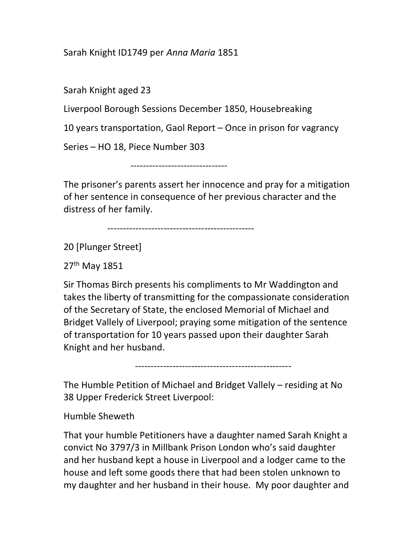## Sarah Knight ID1749 per Anna Maria 1851

Sarah Knight aged 23

Liverpool Borough Sessions December 1850, Housebreaking

10 years transportation, Gaol Report – Once in prison for vagrancy

Series – HO 18, Piece Number 303

-------------------------------

The prisoner's parents assert her innocence and pray for a mitigation of her sentence in consequence of her previous character and the distress of her family.

-----------------------------------------------

20 [Plunger Street]

27th May 1851

Sir Thomas Birch presents his compliments to Mr Waddington and takes the liberty of transmitting for the compassionate consideration of the Secretary of State, the enclosed Memorial of Michael and Bridget Vallely of Liverpool; praying some mitigation of the sentence of transportation for 10 years passed upon their daughter Sarah Knight and her husband.

--------------------------------------------------

The Humble Petition of Michael and Bridget Vallely – residing at No 38 Upper Frederick Street Liverpool:

Humble Sheweth

That your humble Petitioners have a daughter named Sarah Knight a convict No 3797/3 in Millbank Prison London who's said daughter and her husband kept a house in Liverpool and a lodger came to the house and left some goods there that had been stolen unknown to my daughter and her husband in their house. My poor daughter and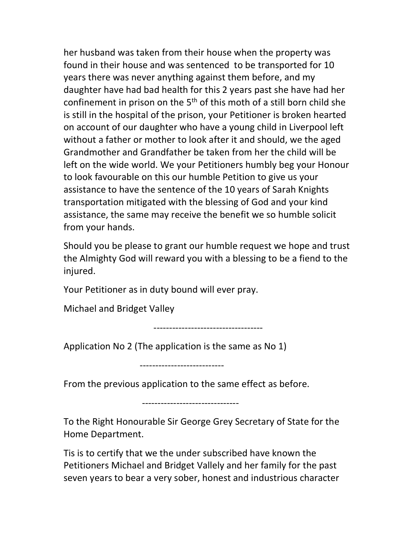her husband was taken from their house when the property was found in their house and was sentenced to be transported for 10 years there was never anything against them before, and my daughter have had bad health for this 2 years past she have had her confinement in prison on the 5<sup>th</sup> of this moth of a still born child she is still in the hospital of the prison, your Petitioner is broken hearted on account of our daughter who have a young child in Liverpool left without a father or mother to look after it and should, we the aged Grandmother and Grandfather be taken from her the child will be left on the wide world. We your Petitioners humbly beg your Honour to look favourable on this our humble Petition to give us your assistance to have the sentence of the 10 years of Sarah Knights transportation mitigated with the blessing of God and your kind assistance, the same may receive the benefit we so humble solicit from your hands.

Should you be please to grant our humble request we hope and trust the Almighty God will reward you with a blessing to be a fiend to the injured.

Your Petitioner as in duty bound will ever pray.

Michael and Bridget Valley

-----------------------------------

Application No 2 (The application is the same as No 1)

---------------------------

From the previous application to the same effect as before.

-------------------------------

To the Right Honourable Sir George Grey Secretary of State for the Home Department.

Tis is to certify that we the under subscribed have known the Petitioners Michael and Bridget Vallely and her family for the past seven years to bear a very sober, honest and industrious character